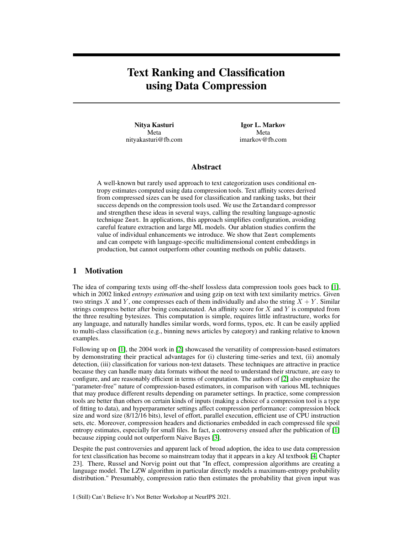# Text Ranking and Classification using Data Compression

Nitya Kasturi Meta nityakasturi@fb.com

Igor L. Markov Meta imarkov@fb.com

## Abstract

A well-known but rarely used approach to text categorization uses conditional entropy estimates computed using data compression tools. Text affinity scores derived from compressed sizes can be used for classification and ranking tasks, but their success depends on the compression tools used. We use the Zstandard compressor and strengthen these ideas in several ways, calling the resulting language-agnostic technique Zest. In applications, this approach simplifies configuration, avoiding careful feature extraction and large ML models. Our ablation studies confirm the value of individual enhancements we introduce. We show that Zest complements and can compete with language-specific multidimensional content embeddings in production, but cannot outperform other counting methods on public datasets.

## <span id="page-0-0"></span>1 Motivation

The idea of comparing texts using off-the-shelf lossless data compression tools goes back to [\[1\]](#page-5-0), which in 2002 linked *entropy estimation* and using gzip on text with text similarity metrics. Given two strings X and Y, one compresses each of them individually and also the string  $X + Y$ . Similar strings compress better after being concatenated. An affinity score for  $X$  and  $Y$  is computed from the three resulting bytesizes. This computation is simple, requires little infrastructure, works for any language, and naturally handles similar words, word forms, typos, etc. It can be easily applied to multi-class classification (e.g., binning news articles by category) and ranking relative to known examples.

Following up on [\[1\]](#page-5-0), the 2004 work in [\[2\]](#page-5-1) showcased the versatility of compression-based estimators by demonstrating their practical advantages for (i) clustering time-series and text, (ii) anomaly detection, (iii) classification for various non-text datasets. These techniques are attractive in practice because they can handle many data formats without the need to understand their structure, are easy to configure, and are reasonably efficient in terms of computation. The authors of [\[2\]](#page-5-1) also emphasize the "parameter-free" nature of compression-based estimators, in comparison with various ML techniques that may produce different results depending on parameter settings. In practice, some compression tools are better than others on certain kinds of inputs (making a choice of a compression tool is a type of fitting to data), and hyperparameter settings affect compression performance: compression block size and word size (8/12/16 bits), level of effort, parallel execution, efficient use of CPU instruction sets, etc. Moreover, compression headers and dictionaries embedded in each compressed file spoil entropy estimates, especially for small files. In fact, a controversy ensued after the publication of [\[1\]](#page-5-0) because zipping could not outperform Naive Bayes [\[3\]](#page-5-2).

Despite the past controversies and apparent lack of broad adoption, the idea to use data compression for text classification has become so mainstream today that it appears in a key AI textbook [\[4,](#page-5-3) Chapter 23]. There, Russel and Norvig point out that "In effect, compression algorithms are creating a language model. The LZW algorithm in particular directly models a maximum-entropy probability distribution." Presumably, compression ratio then estimates the probability that given input was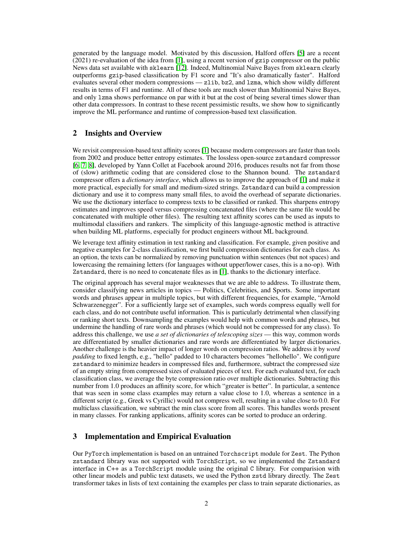generated by the language model. Motivated by this discussion, Halford offers [\[5\]](#page-5-4) are a recent (2021) re-evaluation of the idea from [\[1\]](#page-5-0), using a recent version of gzip compressor on the public News data set available with sklearn [\[12\]](#page-5-5). Indeed, Multinomial Naive Bayes from sklearn clearly outperforms gzip-based classification by F1 score and "It's also dramatically faster". Halford evaluates several other modern compressions — zlib, bz2, and lzma, which show wildly different results in terms of F1 and runtime. All of these tools are much slower than Multinomial Naive Bayes, and only lzma shows performance on par with it but at the cost of being several times slower than other data compressors. In contrast to these recent pessimistic results, we show how to significantly improve the ML performance and runtime of compression-based text classification.

## 2 Insights and Overview

We revisit compression-based text affinity scores [\[1\]](#page-5-0) because modern compressors are faster than tools from 2002 and produce better entropy estimates. The lossless open-source zstandard compressor [\[6,](#page-5-6) [7,](#page-5-7) [8\]](#page-5-8), developed by Yann Collet at Facebook around 2016, produces results not far from those of (slow) arithmetic coding that are considered close to the Shannon bound. The zstandard compressor offers a *dictionary interface*, which allows us to improve the approach of [\[1\]](#page-5-0) and make it more practical, especially for small and medium-sized strings. Zstandard can build a compression dictionary and use it to compress many small files, to avoid the overhead of separate dictionaries. We use the dictionary interface to compress texts to be classified or ranked. This sharpens entropy estimates and improves speed versus compressing concatenated files (where the same file would be concatenated with multiple other files). The resulting text affinity scores can be used as inputs to multimodal classifiers and rankers. The simplicity of this language-agnostic method is attractive when building ML platforms, especially for product engineers without ML background.

We leverage text affinity estimation in text ranking and classification. For example, given positive and negative examples for 2-class classification, we first build compression dictionaries for each class. As an option, the texts can be normalized by removing punctuation within sentences (but not spaces) and lowercasing the remaining letters (for languages without upper/lower cases, this is a no-op). With Zstandard, there is no need to concatenate files as in [\[1\]](#page-5-0), thanks to the dictionary interface.

The original approach has several major weaknesses that we are able to address. To illustrate them, consider classifying news articles in topics — Politics, Celebrities, and Sports. Some important words and phrases appear in multiple topics, but with different frequencies, for example, "Arnold Schwarzenegger". For a sufficiently large set of examples, such words compress equally well for each class, and do not contribute useful information. This is particularly detrimental when classifying or ranking short texts. Downsampling the examples would help with common words and phrases, but undermine the handling of rare words and phrases (which would not be compressed for any class). To address this challenge, we use *a set of dictionaries of telescoping sizes* — this way, common words are differentiated by smaller dictionaries and rare words are differentiated by larger dictionaries. Another challenge is the heavier impact of longer words on compression ratios. We address it by *word padding* to fixed length, e.g., "hello" padded to 10 characters becomes "hellohello". We configure zstandard to minimize headers in compressed files and, furthermore, subtract the compressed size of an empty string from compressed sizes of evaluated pieces of text. For each evaluated text, for each classification class, we average the byte compression ratio over multiple dictionaries. Subtracting this number from 1.0 produces an affinity score, for which "greater is better". In particular, a sentence that was seen in some class examples may return a value close to 1.0, whereas a sentence in a different script (e.g., Greek vs Cyrillic) would not compress well, resulting in a value close to 0.0. For multiclass classification, we subtract the min class score from all scores. This handles words present in many classes. For ranking applications, affinity scores can be sorted to produce an ordering.

## <span id="page-1-0"></span>3 Implementation and Empirical Evaluation

Our PyTorch implementation is based on an untrained Torchscript module for Zest. The Python zstandard library was not supported with TorchScript, so we implemented the Zstandard interface in C++ as a TorchScript module using the original C library. For comparision with other linear models and public text datasets, we used the Python zstd library directly. The Zest transformer takes in lists of text containing the examples per class to train separate dictionaries, as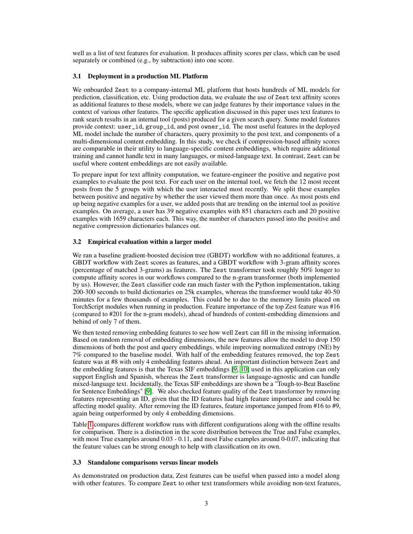well as a list of text features for evaluation. It produces affinity scores per class, which can be used separately or combined (e.g., by subtraction) into one score.

#### 3.1 Deployment in a production ML Platform

We onboarded Zest to a company-internal ML platform that hosts hundreds of ML models for prediction, classification, etc. Using production data, we evaluate the use of Zest text affinity scores as additional features to these models, where we can judge features by their importance values in the context of various other features. The specific application discussed in this paper uses text features to rank search results in an internal tool (posts) produced for a given search query. Some model features provide context: user\_id, group\_id, and post owner\_id. The most useful features in the deployed ML model include the number of characters, query proximity to the post text, and components of a multi-dimensional content embedding. In this study, we check if compression-based affinity scores are comparable in their utility to language-specific content embeddings, which require additional training and cannot handle text in many languages, or mixed-language text. In contrast, Zest can be useful where content embeddings are not easily available.

To prepare input for text affinity computation, we feature-engineer the positive and negative post examples to evaluate the post text. For each user on the internal tool, we fetch the 12 most recent posts from the 5 groups with which the user interacted most recently. We split these examples between positive and negative by whether the user viewed them more than once. As most posts end up being negative examples for a user, we added posts that are trending on the internal tool as positive examples. On average, a user has 39 negative examples with 851 characters each and 20 positive examples with 1659 characters each. This way, the number of characters passed into the positive and negative compression dictionaries balances out.

### 3.2 Empirical evaluation within a larger model

We ran a baseline gradient-boosted decision tree (GBDT) workflow with no additional features, a GBDT workflow with Zest scores as features, and a GBDT workflow with 3-gram affinity scores (percentage of matched 3-grams) as features. The Zest transformer took roughly 50% longer to compute affinity scores in our workflows compared to the n-gram transformer (both implemented by us). However, the Zest classifier code ran much faster with the Python implementation, taking 200-300 seconds to build dictionaries on 25k examples, whereas the transformer would take 40-50 minutes for a few thousands of examples. This could be to due to the memory limits placed on TorchScript modules when running in production. Feature importance of the top Zest feature was #16 (compared to #201 for the n-gram models), ahead of hundreds of content-embedding dimensions and behind of only 7 of them.

We then tested removing embedding features to see how well Zest can fill in the missing information. Based on random removal of embedding dimensions, the new features allow the model to drop 150 dimensions of both the post and query embeddings, while improving normalized entropy (NE) by 7% compared to the baseline model. With half of the embedding features removed, the top Zest feature was at #8 with only 4 embedding features ahead. An important distinction between Zest and the embedding features is that the Texas SIF embeddings [\[9,](#page-5-9) [10\]](#page-5-10) used in this application can only support English and Spanish, whereas the Zest transformer is language-agnostic and can handle mixed-language text. Incidentally, the Texas SIF embeddings are shown be a "Tough-to-Beat Baseline for Sentence Embeddings" [\[9\]](#page-5-9). We also checked feature quality of the Zest transformer by removing features representing an ID, given that the ID features had high feature importance and could be affecting model quality. After removing the ID features, feature importance jumped from #16 to #9, again being outperformed by only 4 embedding dimensions.

Table [1](#page-3-0) compares different workflow runs with different configurations along with the offline results for comparison. There is a distinction in the score distribution between the True and False examples, with most True examples around  $0.03 - 0.11$ , and most False examples around 0-0.07, indicating that the feature values can be strong enough to help with classification on its own.

### 3.3 Standalone comparisons versus linear models

As demonstrated on production data, Zest features can be useful when passed into a model along with other features. To compare Zest to other text transformers while avoiding non-text features,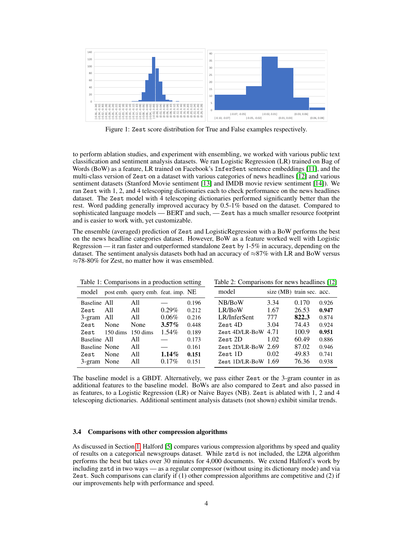

Figure 1: Zest score distribution for True and False examples respectively.

to perform ablation studies, and experiment with ensembling, we worked with various public text classification and sentiment analysis datasets. We ran Logistic Regression (LR) trained on Bag of Words (BoW) as a feature, LR trained on Facebook's InferSent sentence embeddings [\[11\]](#page-5-11), and the multi-class version of Zest on a dataset with various categories of news headlines [\[12\]](#page-5-5) and various sentiment datasets (Stanford Movie sentiment [\[13\]](#page-5-12) and IMDB movie review sentiment [\[14\]](#page-5-13)). We ran Zest with 1, 2, and 4 telescoping dictionaries each to check performance on the news headlines dataset. The Zest model with 4 telescoping dictionaries performed significantly better than the rest. Word padding generally improved accuracy by 0.5-1% based on the dataset. Compared to sophisticated language models — BERT and such, — Zest has a much smaller resource footprint and is easier to work with, yet customizable.

The ensemble (averaged) prediction of Zest and LogisticRegression with a BoW performs the best on the news headline categories dataset. However, BoW as a feature worked well with Logistic Regression — it ran faster and outperformed standalone Zest by 1-5% in accuracy, depending on the dataset. The sentiment analysis datasets both had an accuracy of ≈87% with LR and BoW versus ≈78-80% for Zest, no matter how it was ensembled.

<span id="page-3-0"></span>

| Table 1: Comparisons in a production setting |               |                     |                                    |          |       | Table 2: Comparisons for news headlines [12] |                           |       |       |
|----------------------------------------------|---------------|---------------------|------------------------------------|----------|-------|----------------------------------------------|---------------------------|-------|-------|
|                                              | model         |                     | post emb. query emb. feat. imp. NE |          |       | model                                        | size (MB) train sec. acc. |       |       |
|                                              | Baseline All  |                     | A11                                |          | 0.196 | NB/BoW                                       | 3.34                      | 0.170 | 0.926 |
|                                              | Zest          | A11                 | A11                                | $0.29\%$ | 0.212 | LR/BoW                                       | 1.67                      | 26.53 | 0.947 |
|                                              | 3-gram All    |                     | All                                | $0.06\%$ | 0.216 | LR/InferSent                                 | 777                       | 822.3 | 0.874 |
|                                              | Zest          | None                | None                               | $3.57\%$ | 0.448 | Zest 4D                                      | 3.04                      | 74.43 | 0.924 |
|                                              | Zest          | $150 \text{ dim}$ s | $150 \text{ dim}$ s                | $1.54\%$ | 0.189 | Zest 4D/LR-BoW 4.71                          |                           | 100.9 | 0.951 |
|                                              | Baseline All  |                     | A11                                |          | 0.173 | Zest 2D                                      | 1.02                      | 60.49 | 0.886 |
|                                              | Baseline None |                     | A11                                |          | 0.161 | Zest 2D/LR-BoW 2.69                          |                           | 87.02 | 0.946 |
|                                              | Zest          | None                | A11                                | $1.14\%$ | 0.151 | Zest 1D                                      | 0.02                      | 49.83 | 0.741 |
|                                              | 3-gram None   |                     | A11                                | $0.17\%$ | 0.151 | Zest $1D/LR$ -BoW $1.69$                     |                           | 76.36 | 0.938 |
|                                              |               |                     |                                    |          |       |                                              |                           |       |       |

The baseline model is a GBDT. Alternatively, we pass either Zest or the 3-gram counter in as additional features to the baseline model. BoWs are also compared to Zest and also passed in as features, to a Logistic Regression (LR) or Naive Bayes (NB). Zest is ablated with 1, 2 and 4 telescoping dictionaries. Additional sentiment analysis datasets (not shown) exhibit similar trends.

#### 3.4 Comparisons with other compression algorithms

As discussed in Section [1,](#page-0-0) Halford [\[5\]](#page-5-4) compares various compression algorithms by speed and quality of results on a categorical newsgroups dataset. While zstd is not included, the LZMA algorithm performs the best but takes over 30 minutes for 4,000 documents. We extend Halford's work by including zstd in two ways — as a regular compressor (without using its dictionary mode) and via Zest. Such comparisons can clarify if (1) other compression algorithms are competitive and (2) if our improvements help with performance and speed.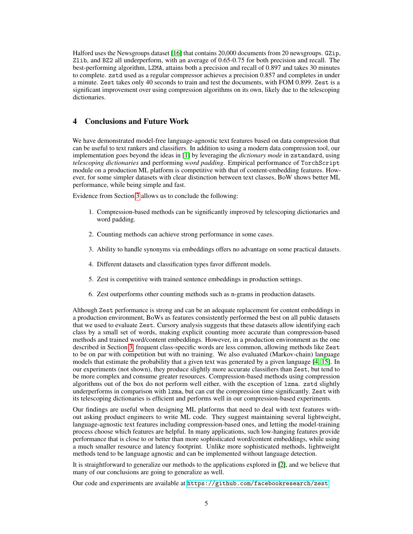Halford uses the Newsgroups dataset [\[16\]](#page-5-14) that contains 20,000 documents from 20 newsgroups. GZip, Zlib, and BZ2 all underperform, with an average of 0.65-0.75 for both precision and recall. The best-performing algorithm, LZMA, attains both a precision and recall of 0.897 and takes 30 minutes to complete. zstd used as a regular compressor achieves a precision 0.857 and completes in under a minute. Zest takes only 40 seconds to train and test the documents, with FOM 0.899. Zest is a significant improvement over using compression algorithms on its own, likely due to the telescoping dictionaries.

## 4 Conclusions and Future Work

We have demonstrated model-free language-agnostic text features based on data compression that can be useful to text rankers and classifiers. In addition to using a modern data compression tool, our implementation goes beyond the ideas in [\[1\]](#page-5-0) by leveraging the *dictionary mode* in zstandard, using *telescoping dictionaries* and performing *word padding*. Empirical performance of TorchScript module on a production ML platform is competitive with that of content-embedding features. However, for some simpler datasets with clear distinction between text classes, BoW shows better ML performance, while being simple and fast.

Evidence from Section [3](#page-1-0) allows us to conclude the following:

- 1. Compression-based methods can be significantly improved by telescoping dictionaries and word padding.
- 2. Counting methods can achieve strong performance in some cases.
- 3. Ability to handle synonyms via embeddings offers no advantage on some practical datasets.
- 4. Different datasets and classification types favor different models.
- 5. Zest is competitive with trained sentence embeddings in production settings.
- 6. Zest outperforms other counting methods such as n-grams in production datasets.

Although Zest performance is strong and can be an adequate replacement for content embeddings in a production environment, BoWs as features consistently performed the best on all public datasets that we used to evaluate Zest. Cursory analysis suggests that these datasets allow identifying each class by a small set of words, making explicit counting more accurate than compression-based methods and trained word/content embeddings. However, in a production environment as the one described in Section [3,](#page-1-0) frequent class-specific words are less common, allowing methods like Zest to be on par with competition but with no training. We also evaluated (Markov-chain) language models that estimate the probability that a given text was generated by a given language [\[4,](#page-5-3) [15\]](#page-5-15). In our experiments (not shown), they produce slightly more accurate classifiers than Zest, but tend to be more complex and consume greater resources. Compression-based methods using compression algorithms out of the box do not perform well either, with the exception of lzma. zstd slightly underperforms in comparison with lzma, but can cut the compression time significantly. Zest with its telescoping dictionaries is efficient and performs well in our compression-based experiments.

Our findings are useful when designing ML platforms that need to deal with text features without asking product engineers to write ML code. They suggest maintaining several lightweight, language-agnostic text features including compression-based ones, and letting the model-training process choose which features are helpful. In many applications, such low-hanging features provide performance that is close to or better than more sophisticated word/content embeddings, while using a much smaller resource and latency footprint. Unlike more sophisticated methods, lightweight methods tend to be language agnostic and can be implemented without language detection.

It is straightforward to generalize our methods to the applications explored in [\[2\]](#page-5-1), and we believe that many of our conclusions are going to generalize as well.

Our code and experiments are available at <https://github.com/facebookresearch/zest>.